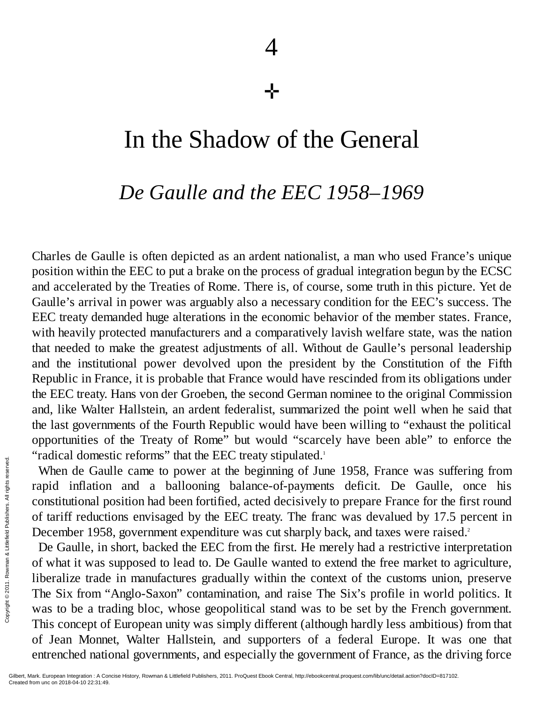# In the Shadow of the General

## *De Gaulle and the EEC 1958–1969*

Charles de Gaulle is often depicted as an ardent nationalist, a man who used France's unique position within the EEC to put a brake on the process of gradual integration begun by the ECSC and accelerated by the Treaties of Rome. There is, of course, some truth in this picture. Yet de Gaulle's arrival in power was arguably also a necessary condition for the EEC's success. The EEC treaty demanded huge alterations in the economic behavior of the member states. France, with heavily protected manufacturers and a comparatively lavish welfare state, was the nation that needed to make the greatest adjustments of all. Without de Gaulle's personal leadership and the institutional power devolved upon the president by the Constitution of the Fifth Republic in France, it is probable that France would have rescinded from its obligations under the EEC treaty. Hans von der Groeben, the second German nominee to the original Commission and, like Walter Hallstein, an ardent federalist, summarized the point well when he said that the last governments of the Fourth Republic would have been willing to "exhaust the political opportunities of the Treaty of Rome" but would "scarcely have been able" to enforce the "radical domestic reforms" that the EEC treaty stipulated.<sup>1</sup>

When de Gaulle came to power at the beginning of June 1958, France was suffering from rapid inflation and a ballooning balance-of-payments deficit. De Gaulle, once his constitutional position had been fortified, acted decisively to prepare France for the first round of tariff reductions envisaged by the EEC treaty. The franc was devalued by 17.5 percent in December 1958, government expenditure was cut sharply back, and taxes were raised.<sup>2</sup>

De Gaulle, in short, backed the EEC from the first. He merely had a restrictive interpretation of what it was supposed to lead to. De Gaulle wanted to extend the free market to agriculture, liberalize trade in manufactures gradually within the context of the customs union, preserve The Six from "Anglo-Saxon" contamination, and raise The Six's profile in world politics. It was to be a trading bloc, whose geopolitical stand was to be set by the French government. This concept of European unity was simply different (although hardly less ambitious) from that of Jean Monnet, Walter Hallstein, and supporters of a federal Europe. It was one that entrenched national governments, and especially the government of France, as the driving force Fraction dorincs<br>
Experiment on the Gau<br>
Fraction constitutional p<br>
of tariff reduction Publishers<br>
De Gaulle, in<br>
of what it was<br>
liberalize trade<br>
The Six from "<br>
was to be a tra<br>
This concept of<br>
of Jean Monne<br>
entrenc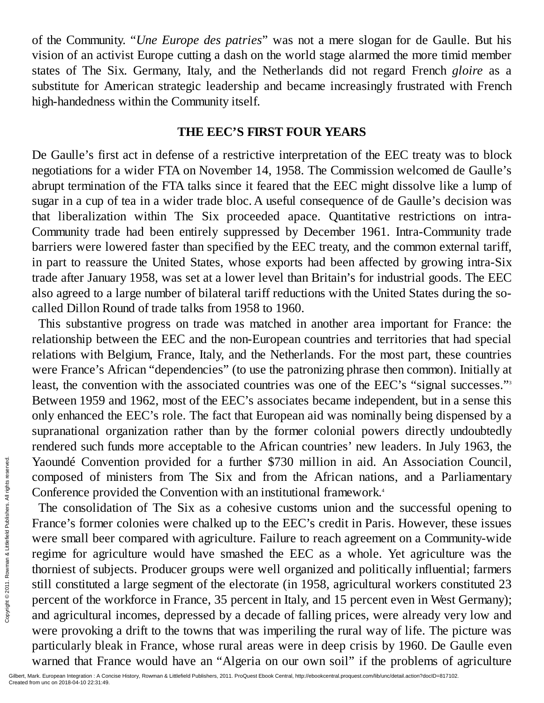of the Community. "*Une Europe des patries*" was not a mere slogan for de Gaulle. But his vision of an activist Europe cutting a dash on the world stage alarmed the more timid member states of The Six. Germany, Italy, and the Netherlands did not regard French *gloire* as a substitute for American strategic leadership and became increasingly frustrated with French high-handedness within the Community itself.

#### **THE EEC'S FIRST FOUR YEARS**

De Gaulle's first act in defense of a restrictive interpretation of the EEC treaty was to block negotiations for a wider FTA on November 14, 1958. The Commission welcomed de Gaulle's abrupt termination of the FTA talks since it feared that the EEC might dissolve like a lump of sugar in a cup of tea in a wider trade bloc. A useful consequence of de Gaulle's decision was that liberalization within The Six proceeded apace. Quantitative restrictions on intra-Community trade had been entirely suppressed by December 1961. Intra-Community trade barriers were lowered faster than specified by the EEC treaty, and the common external tariff, in part to reassure the United States, whose exports had been affected by growing intra-Six trade after January 1958, was set at a lower level than Britain's for industrial goods. The EEC also agreed to a large number of bilateral tariff reductions with the United States during the socalled Dillon Round of trade talks from 1958 to 1960.

This substantive progress on trade was matched in another area important for France: the relationship between the EEC and the non-European countries and territories that had special relations with Belgium, France, Italy, and the Netherlands. For the most part, these countries were France's African "dependencies" (to use the patronizing phrase then common). Initially at least, the convention with the associated countries was one of the EEC's "signal successes." 3 Between 1959 and 1962, most of the EEC's associates became independent, but in a sense this only enhanced the EEC's role. The fact that European aid was nominally being dispensed by a supranational organization rather than by the former colonial powers directly undoubtedly rendered such funds more acceptable to the African countries' new leaders. In July 1963, the Yaoundé Convention provided for a further \$730 million in aid. An Association Council, composed of ministers from The Six and from the African nations, and a Parliamentary Conference provided the Convention with an institutional framework. 4

The consolidation of The Six as a cohesive customs union and the successful opening to France's former colonies were chalked up to the EEC's credit in Paris. However, these issues were small beer compared with agriculture. Failure to reach agreement on a Community-wide regime for agriculture would have smashed the EEC as a whole. Yet agriculture was the thorniest of subjects. Producer groups were well organized and politically influential; farmers still constituted a large segment of the electorate (in 1958, agricultural workers constituted 23 percent of the workforce in France, 35 percent in Italy, and 15 percent even in West Germany); and agricultural incomes, depressed by a decade of falling prices, were already very low and were provoking a drift to the towns that was imperiling the rural way of life. The picture was particularly bleak in France, whose rural areas were in deep crisis by 1960. De Gaulle even warned that France would have an "Algeria on our own soil" if the problems of agriculture France's former provided France's former were small been regime for agrive from the regime for agrive  $\frac{1}{2}$  till constituted percent of the v and agricultural were provoking particularly ble warned that France  $\frac{1}{2$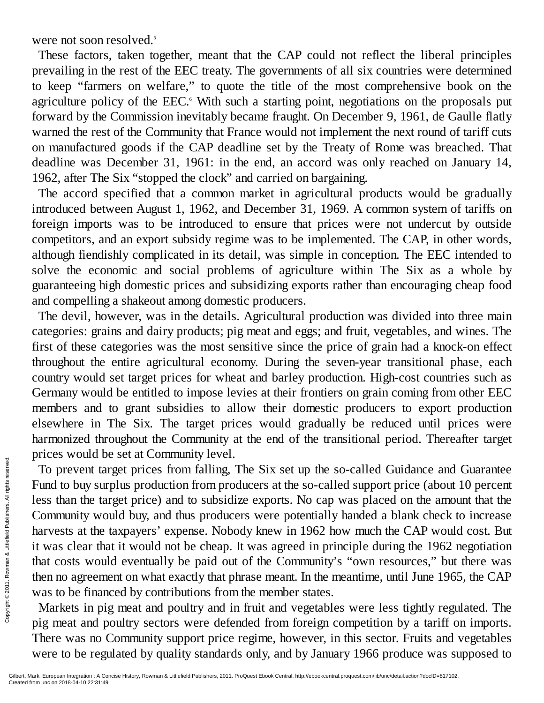were not soon resolved. 5

These factors, taken together, meant that the CAP could not reflect the liberal principles prevailing in the rest of the EEC treaty. The governments of all six countries were determined to keep "farmers on welfare," to quote the title of the most comprehensive book on the agriculture policy of the EEC. <sup>6</sup> With such a starting point, negotiations on the proposals put forward by the Commission inevitably became fraught. On December 9, 1961, de Gaulle flatly warned the rest of the Community that France would not implement the next round of tariff cuts on manufactured goods if the CAP deadline set by the Treaty of Rome was breached. That deadline was December 31, 1961: in the end, an accord was only reached on January 14, 1962, after The Six "stopped the clock" and carried on bargaining.

The accord specified that a common market in agricultural products would be gradually introduced between August 1, 1962, and December 31, 1969. A common system of tariffs on foreign imports was to be introduced to ensure that prices were not undercut by outside competitors, and an export subsidy regime was to be implemented. The CAP, in other words, although fiendishly complicated in its detail, was simple in conception. The EEC intended to solve the economic and social problems of agriculture within The Six as a whole by guaranteeing high domestic prices and subsidizing exports rather than encouraging cheap food and compelling a shakeout among domestic producers.

The devil, however, was in the details. Agricultural production was divided into three main categories: grains and dairy products; pig meat and eggs; and fruit, vegetables, and wines. The first of these categories was the most sensitive since the price of grain had a knock-on effect throughout the entire agricultural economy. During the seven-year transitional phase, each country would set target prices for wheat and barley production. High-cost countries such as Germany would be entitled to impose levies at their frontiers on grain coming from other EEC members and to grant subsidies to allow their domestic producers to export production elsewhere in The Six. The target prices would gradually be reduced until prices were harmonized throughout the Community at the end of the transitional period. Thereafter target prices would be set at Community level.

To prevent target prices from falling, The Six set up the so-called Guidance and Guarantee Fund to buy surplus production from producers at the so-called support price (about 10 percent less than the target price) and to subsidize exports. No cap was placed on the amount that the Community would buy, and thus producers were potentially handed a blank check to increase harvests at the taxpayers' expense. Nobody knew in 1962 how much the CAP would cost. But it was clear that it would not be cheap. It was agreed in principle during the 1962 negotiation that costs would eventually be paid out of the Community's "own resources," but there was then no agreement on what exactly that phrase meant. In the meantime, until June 1965, the CAP was to be financed by contributions from the member states. Frices would be exact the space of the space of the space of the space of the space of the space of the space of the space of the space of the space of the space of the space of the space of the space of the space of the

Markets in pig meat and poultry and in fruit and vegetables were less tightly regulated. The pig meat and poultry sectors were defended from foreign competition by a tariff on imports. There was no Community support price regime, however, in this sector. Fruits and vegetables were to be regulated by quality standards only, and by January 1966 produce was supposed to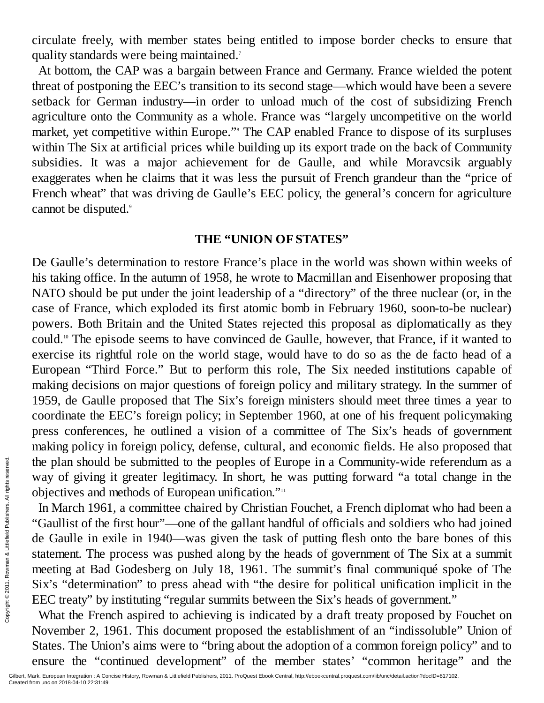circulate freely, with member states being entitled to impose border checks to ensure that quality standards were being maintained. 7

At bottom, the CAP was a bargain between France and Germany. France wielded the potent threat of postponing the EEC's transition to its second stage—which would have been a severe setback for German industry—in order to unload much of the cost of subsidizing French agriculture onto the Community as a whole. France was "largely uncompetitive on the world market, yet competitive within Europe."<sup>8</sup> The CAP enabled France to dispose of its surpluses within The Six at artificial prices while building up its export trade on the back of Community subsidies. It was a major achievement for de Gaulle, and while Moravcsik arguably exaggerates when he claims that it was less the pursuit of French grandeur than the "price of French wheat" that was driving de Gaulle's EEC policy, the general's concern for agriculture cannot be disputed. 9

#### **THE "UNION OFSTATES"**

De Gaulle's determination to restore France's place in the world was shown within weeks of his taking office. In the autumn of 1958, he wrote to Macmillan and Eisenhower proposing that NATO should be put under the joint leadership of a "directory" of the three nuclear (or, in the case of France, which exploded its first atomic bomb in February 1960, soon-to-be nuclear) powers. Both Britain and the United States rejected this proposal as diplomatically as they could. <sup>10</sup> The episode seems to have convinced de Gaulle, however, that France, if it wanted to exercise its rightful role on the world stage, would have to do so as the de facto head of a European "Third Force." But to perform this role, The Six needed institutions capable of making decisions on major questions of foreign policy and military strategy. In the summer of 1959, de Gaulle proposed that The Six's foreign ministers should meet three times a year to coordinate the EEC's foreign policy; in September 1960, at one of his frequent policymaking press conferences, he outlined a vision of a committee of The Six's heads of government making policy in foreign policy, defense, cultural, and economic fields. He also proposed that the plan should be submitted to the peoples of Europe in a Community-wide referendum as a way of giving it greater legitimacy. In short, he was putting forward "a total change in the objectives and methods of European unification."<sup>11</sup>

In March 1961, a committee chaired by Christian Fouchet, a French diplomat who had been a "Gaullist of the first hour"—one of the gallant handful of officials and soldiers who had joined de Gaulle in exile in 1940—was given the task of putting flesh onto the bare bones of this statement. The process was pushed along by the heads of government of The Six at a summit meeting at Bad Godesberg on July 18, 1961. The summit's final communiqué spoke of The Six's "determination" to press ahead with "the desire for political unification implicit in the EEC treaty" by instituting "regular summits between the Six's heads of government." From Equitor Signal pairs of giving<br>  $\frac{1}{2}$  and  $\frac{1}{2}$  and  $\frac{1}{2}$  and  $\frac{1}{2}$  and  $\frac{1}{2}$  and  $\frac{1}{2}$  and  $\frac{1}{2}$  and  $\frac{1}{2}$  and  $\frac{1}{2}$  and  $\frac{1}{2}$  and  $\frac{1}{2}$  and  $\frac{1}{2}$  and  $\frac{1}{2}$  and  $\$ 

What the French aspired to achieving is indicated by a draft treaty proposed by Fouchet on November 2, 1961. This document proposed the establishment of an "indissoluble" Union of States. The Union's aims were to "bring about the adoption of a common foreign policy" and to ensure the "continued development" of the member states' "common heritage" and the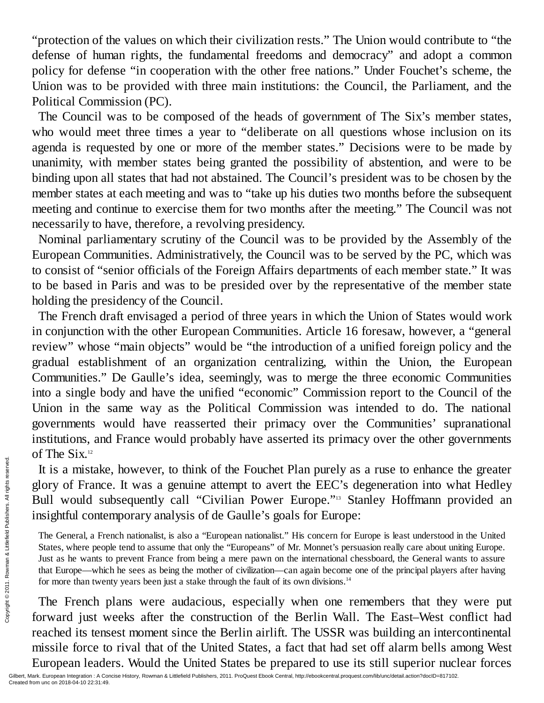"protection of the values on which their civilization rests." The Union would contribute to "the defense of human rights, the fundamental freedoms and democracy" and adopt a common policy for defense "in cooperation with the other free nations." Under Fouchet's scheme, the Union was to be provided with three main institutions: the Council, the Parliament, and the Political Commission (PC).

The Council was to be composed of the heads of government of The Six's member states, who would meet three times a year to "deliberate on all questions whose inclusion on its agenda is requested by one or more of the member states." Decisions were to be made by unanimity, with member states being granted the possibility of abstention, and were to be binding upon all states that had not abstained. The Council's president was to be chosen by the member states at each meeting and was to "take up his duties two months before the subsequent meeting and continue to exercise them for two months after the meeting." The Council was not necessarily to have, therefore, a revolving presidency.

Nominal parliamentary scrutiny of the Council was to be provided by the Assembly of the European Communities. Administratively, the Council was to be served by the PC, which was to consist of "senior officials of the Foreign Affairs departments of each member state." It was to be based in Paris and was to be presided over by the representative of the member state holding the presidency of the Council.

The French draft envisaged a period of three years in which the Union of States would work in conjunction with the other European Communities. Article 16 foresaw, however, a "general review" whose "main objects" would be "the introduction of a unified foreign policy and the gradual establishment of an organization centralizing, within the Union, the European Communities." De Gaulle's idea, seemingly, was to merge the three economic Communities into a single body and have the unified "economic" Commission report to the Council of the Union in the same way as the Political Commission was intended to do. The national governments would have reasserted their primacy over the Communities' supranational institutions, and France would probably have asserted its primacy over the other governments of The Six. 12

It is a mistake, however, to think of the Fouchet Plan purely as a ruse to enhance the greater glory of France. It was a genuine attempt to avert the EEC's degeneration into what Hedley Bull would subsequently call "Civilian Power Europe." <sup>13</sup> Stanley Hoffmann provided an insightful contemporary analysis of de Gaulle's goals for Europe:

The General, a French nationalist, is also a "European nationalist." His concern for Europe is least understood in the United States, where people tend to assume that only the "Europeans" of Mr. Monnet's persuasion really care about uniting Europe. Just as he wants to prevent France from being a mere pawn on the international chessboard, the General wants to assure that Europe—which he sees as being the mother of civilization—can again become one of the principal players after having for more than twenty years been just a stake through the fault of its own divisions.<sup>14</sup>

The French plans were audacious, especially when one remembers that they were put forward just weeks after the construction of the Berlin Wall. The East–West conflict had reached its tensest moment since the Berlin airlift. The USSR was building an intercontinental missile force to rival that of the United States, a fact that had set off alarm bells among West European leaders. Would the United States be prepared to use its still superior nuclear forces Exercise the correction of France<br>
Exercise Exercise Exercise The General, a Free States, where peop<br>
Just as he wants to that Europe—whice<br>
The French proved. The French proved. The French proved. All rights reserved. All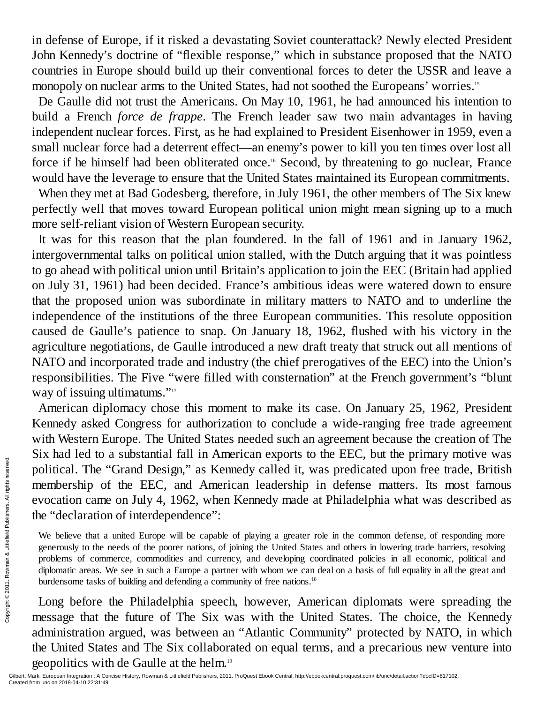in defense of Europe, if it risked a devastating Soviet counterattack? Newly elected President John Kennedy's doctrine of "flexible response," which in substance proposed that the NATO countries in Europe should build up their conventional forces to deter the USSR and leave a monopoly on nuclear arms to the United States, had not soothed the Europeans' worries. 15

De Gaulle did not trust the Americans. On May 10, 1961, he had announced his intention to build a French *force de frappe*. The French leader saw two main advantages in having independent nuclear forces. First, as he had explained to President Eisenhower in 1959, even a small nuclear force had a deterrent effect—an enemy's power to kill you ten times over lost all force if he himself had been obliterated once.<sup>16</sup> Second, by threatening to go nuclear, France would have the leverage to ensure that the United States maintained its European commitments.

When they met at Bad Godesberg, therefore, in July 1961, the other members of The Six knew perfectly well that moves toward European political union might mean signing up to a much more self-reliant vision of Western European security.

It was for this reason that the plan foundered. In the fall of 1961 and in January 1962, intergovernmental talks on political union stalled, with the Dutch arguing that it was pointless to go ahead with political union until Britain's application to join the EEC (Britain had applied on July 31, 1961) had been decided. France's ambitious ideas were watered down to ensure that the proposed union was subordinate in military matters to NATO and to underline the independence of the institutions of the three European communities. This resolute opposition caused de Gaulle's patience to snap. On January 18, 1962, flushed with his victory in the agriculture negotiations, de Gaulle introduced a new draft treaty that struck out all mentions of NATO and incorporated trade and industry (the chief prerogatives of the EEC) into the Union's responsibilities. The Five "were filled with consternation" at the French government's "blunt way of issuing ultimatums." 17

American diplomacy chose this moment to make its case. On January 25, 1962, President Kennedy asked Congress for authorization to conclude a wide-ranging free trade agreement with Western Europe. The United States needed such an agreement because the creation of The Six had led to a substantial fall in American exports to the EEC, but the primary motive was political. The "Grand Design," as Kennedy called it, was predicated upon free trade, British membership of the EEC, and American leadership in defense matters. Its most famous evocation came on July 4, 1962, when Kennedy made at Philadelphia what was described as the "declaration of interdependence":

We believe that a united Europe will be capable of playing a greater role in the common defense, of responding more generously to the needs of the poorer nations, of joining the United States and others in lowering trade barriers, resolving problems of commerce, commodities and currency, and developing coordinated policies in all economic, political and diplomatic areas. We see in such a Europe a partner with whom we can deal on a basis of full equality in all the great and burdensome tasks of building and defending a community of free nations.<sup>18</sup>

Long before the Philadelphia speech, however, American diplomats were spreading the message that the future of The Six was with the United States. The choice, the Kennedy administration argued, was between an "Atlantic Community" protected by NATO, in which the United States and The Six collaborated on equal terms, and a precarious new venture into geopolitics with de Gaulle at the helm. 19 Example in the "declaration"<br>  $\frac{1}{2}$  membership of<br>
the "declaration"<br>
We believe that a<br>
generously to the increase of comm<br>
diplomatic areas. V<br>
burdensome tasks reserved. All rights reserved. All rights reserved. Al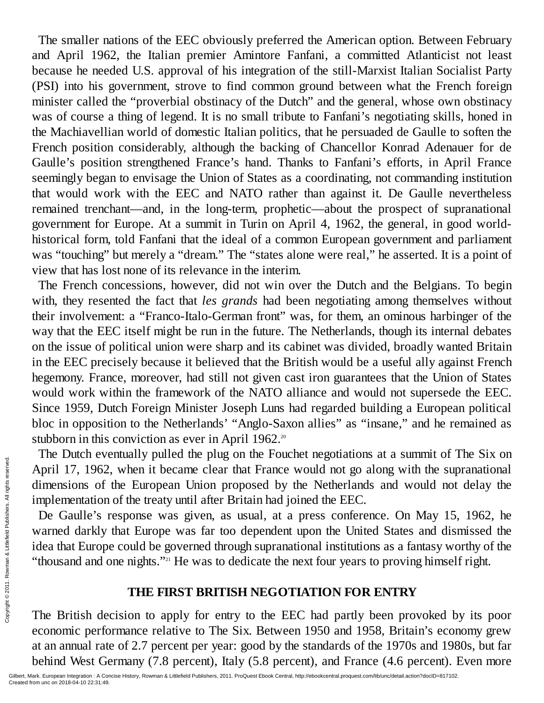The smaller nations of the EEC obviously preferred the American option. Between February and April 1962, the Italian premier Amintore Fanfani, a committed Atlanticist not least because he needed U.S. approval of his integration of the still-Marxist Italian Socialist Party (PSI) into his government, strove to find common ground between what the French foreign minister called the "proverbial obstinacy of the Dutch" and the general, whose own obstinacy was of course a thing of legend. It is no small tribute to Fanfani's negotiating skills, honed in the Machiavellian world of domestic Italian politics, that he persuaded de Gaulle to soften the French position considerably, although the backing of Chancellor Konrad Adenauer for de Gaulle's position strengthened France's hand. Thanks to Fanfani's efforts, in April France seemingly began to envisage the Union of States as a coordinating, not commanding institution that would work with the EEC and NATO rather than against it. De Gaulle nevertheless remained trenchant—and, in the long-term, prophetic—about the prospect of supranational government for Europe. At a summit in Turin on April 4, 1962, the general, in good worldhistorical form, told Fanfani that the ideal of a common European government and parliament was "touching" but merely a "dream." The "states alone were real," he asserted. It is a point of view that has lost none of its relevance in the interim.

The French concessions, however, did not win over the Dutch and the Belgians. To begin with, they resented the fact that *les grands* had been negotiating among themselves without their involvement: a "Franco-Italo-German front" was, for them, an ominous harbinger of the way that the EEC itself might be run in the future. The Netherlands, though its internal debates on the issue of political union were sharp and its cabinet was divided, broadly wanted Britain in the EEC precisely because it believed that the British would be a useful ally against French hegemony. France, moreover, had still not given cast iron guarantees that the Union of States would work within the framework of the NATO alliance and would not supersede the EEC. Since 1959, Dutch Foreign Minister Joseph Luns had regarded building a European political bloc in opposition to the Netherlands' "Anglo-Saxon allies" as "insane," and he remained as stubborn in this conviction as ever in April 1962. 20

The Dutch eventually pulled the plug on the Fouchet negotiations at a summit of The Six on April 17, 1962, when it became clear that France would not go along with the supranational dimensions of the European Union proposed by the Netherlands and would not delay the implementation of the treaty until after Britain had joined the EEC.

De Gaulle's response was given, as usual, at a press conference. On May 15, 1962, he warned darkly that Europe was far too dependent upon the United States and dismissed the idea that Europe could be governed through supranational institutions as a fantasy worthy of the "thousand and one nights."<sup>21</sup> He was to dedicate the next four years to proving himself right.

#### **THE FIRST BRITISH NEGOTIATION FOR ENTRY**

The British decision to apply for entry to the EEC had partly been provoked by its poor economic performance relative to The Six. Between 1950 and 1958, Britain's economy grew at an annual rate of 2.7 percent per year: good by the standards of the 1970s and 1980s, but far behind West Germany (7.8 percent), Italy (5.8 percent), and France (4.6 percent). Even more Experimentation<br>  $\frac{1}{2}$ <br>  $\frac{1}{2}$ <br>  $\frac{1}{2}$ <br>  $\frac{1}{2}$ <br>  $\frac{1}{2}$ <br>  $\frac{1}{2}$ <br>  $\frac{1}{2}$ <br>  $\frac{1}{2}$ <br>  $\frac{1}{2}$ <br>  $\frac{1}{2}$ <br>  $\frac{1}{2}$ <br>  $\frac{1}{2}$ <br>  $\frac{1}{2}$ <br>  $\frac{1}{2}$ <br>  $\frac{1}{2}$ <br>  $\frac{1}{2}$ <br>  $\frac{1}{2}$ <br>  $\frac{1}{2}$ <br>  $\frac{1}{$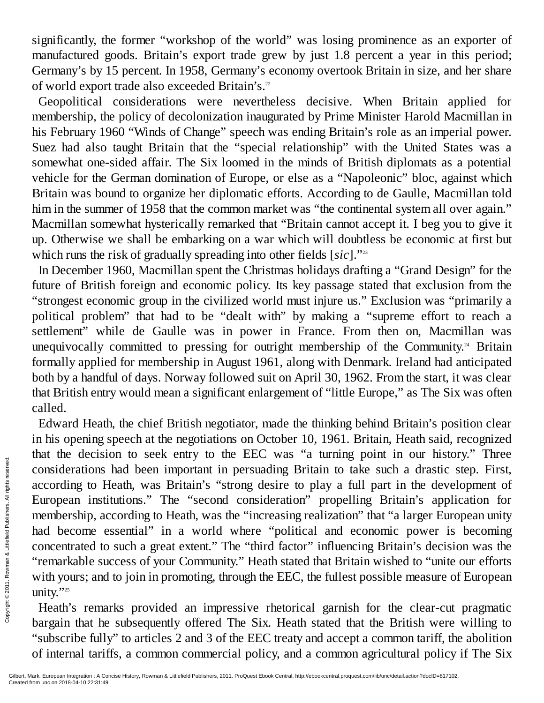significantly, the former "workshop of the world" was losing prominence as an exporter of manufactured goods. Britain's export trade grew by just 1.8 percent a year in this period; Germany's by 15 percent. In 1958, Germany's economy overtook Britain in size, and her share of world export trade also exceeded Britain's.<sup>22</sup>

Geopolitical considerations were nevertheless decisive. When Britain applied for membership, the policy of decolonization inaugurated by Prime Minister Harold Macmillan in his February 1960 "Winds of Change" speech was ending Britain's role as an imperial power. Suez had also taught Britain that the "special relationship" with the United States was a somewhat one-sided affair. The Six loomed in the minds of British diplomats as a potential vehicle for the German domination of Europe, or else as a "Napoleonic" bloc, against which Britain was bound to organize her diplomatic efforts. According to de Gaulle, Macmillan told him in the summer of 1958 that the common market was "the continental system all over again." Macmillan somewhat hysterically remarked that "Britain cannot accept it. I beg you to give it up. Otherwise we shall be embarking on a war which will doubtless be economic at first but which runs the risk of gradually spreading into other fields [sic]."<sup>23</sup>

In December 1960, Macmillan spent the Christmas holidays drafting a "Grand Design" for the future of British foreign and economic policy. Its key passage stated that exclusion from the "strongest economic group in the civilized world must injure us." Exclusion was "primarily a political problem" that had to be "dealt with" by making a "supreme effort to reach a settlement" while de Gaulle was in power in France. From then on, Macmillan was unequivocally committed to pressing for outright membership of the Community.<sup>24</sup> Britain formally applied for membership in August 1961, along with Denmark. Ireland had anticipated both by a handful of days. Norway followed suit on April 30, 1962. From the start, it was clear that British entry would mean a significant enlargement of "little Europe," as The Six was often called.

Edward Heath, the chief British negotiator, made the thinking behind Britain's position clear in his opening speech at the negotiations on October 10, 1961. Britain, Heath said, recognized that the decision to seek entry to the EEC was "a turning point in our history." Three considerations had been important in persuading Britain to take such a drastic step. First, according to Heath, was Britain's "strong desire to play a full part in the development of European institutions." The "second consideration" propelling Britain's application for membership, according to Heath, was the "increasing realization" that "a larger European unity had become essential" in a world where "political and economic power is becoming concentrated to such a great extent." The "third factor" influencing Britain's decision was the "remarkable success of your Community." Heath stated that Britain wished to "unite our efforts with yours; and to join in promoting, through the EEC, the fullest possible measure of European unity." 25 Example the decreation is according to H<br>
European insti<br>
membership, ac<br>
and become e<br>
concentrated to<br>
"remarkable sure with yours; and<br>
unity."<sup>25</sup><br>
Heath's remar<br>
bargain that he<br>
"subscribe fully<br>
of internal tarif<br>

Heath's remarks provided an impressive rhetorical garnish for the clear-cut pragmatic bargain that he subsequently offered The Six. Heath stated that the British were willing to "subscribe fully" to articles 2 and 3 of the EEC treaty and accept a common tariff, the abolition of internal tariffs, a common commercial policy, and a common agricultural policy if The Six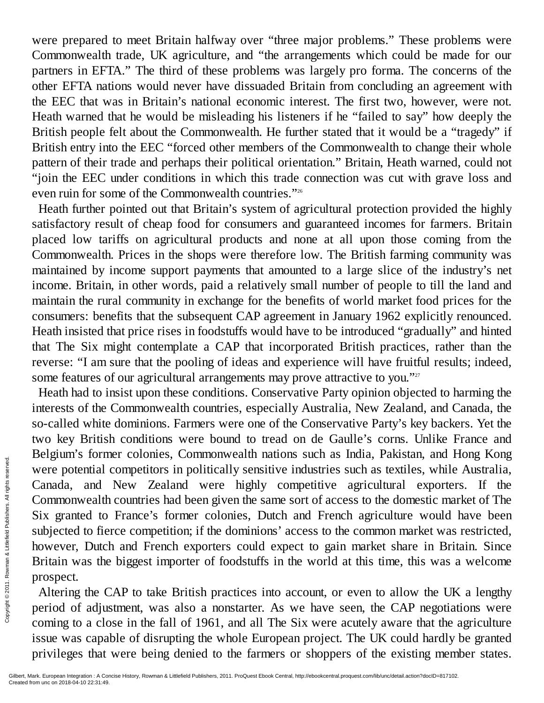were prepared to meet Britain halfway over "three major problems." These problems were Commonwealth trade, UK agriculture, and "the arrangements which could be made for our partners in EFTA." The third of these problems was largely pro forma. The concerns of the other EFTA nations would never have dissuaded Britain from concluding an agreement with the EEC that was in Britain's national economic interest. The first two, however, were not. Heath warned that he would be misleading his listeners if he "failed to say" how deeply the British people felt about the Commonwealth. He further stated that it would be a "tragedy" if British entry into the EEC "forced other members of the Commonwealth to change their whole pattern of their trade and perhaps their political orientation." Britain, Heath warned, could not "join the EEC under conditions in which this trade connection was cut with grave loss and even ruin for some of the Commonwealth countries." 26

Heath further pointed out that Britain's system of agricultural protection provided the highly satisfactory result of cheap food for consumers and guaranteed incomes for farmers. Britain placed low tariffs on agricultural products and none at all upon those coming from the Commonwealth. Prices in the shops were therefore low. The British farming community was maintained by income support payments that amounted to a large slice of the industry's net income. Britain, in other words, paid a relatively small number of people to till the land and maintain the rural community in exchange for the benefits of world market food prices for the consumers: benefits that the subsequent CAP agreement in January 1962 explicitly renounced. Heath insisted that price rises in foodstuffs would have to be introduced "gradually" and hinted that The Six might contemplate a CAP that incorporated British practices, rather than the reverse: "I am sure that the pooling of ideas and experience will have fruitful results; indeed, some features of our agricultural arrangements may prove attractive to you." $^{27}$ 

Heath had to insist upon these conditions. Conservative Party opinion objected to harming the interests of the Commonwealth countries, especially Australia, New Zealand, and Canada, the so-called white dominions. Farmers were one of the Conservative Party's key backers. Yet the two key British conditions were bound to tread on de Gaulle's corns. Unlike France and Belgium's former colonies, Commonwealth nations such as India, Pakistan, and Hong Kong were potential competitors in politically sensitive industries such as textiles, while Australia, Canada, and New Zealand were highly competitive agricultural exporters. If the Commonwealth countries had been given the same sort of access to the domestic market of The Six granted to France's former colonies, Dutch and French agriculture would have been subjected to fierce competition; if the dominions' access to the common market was restricted, however, Dutch and French exporters could expect to gain market share in Britain. Since Britain was the biggest importer of foodstuffs in the world at this time, this was a welcome prospect. Expediant of 1011.<br>
Were potential<br>
Expediant Commonwealth<br>
Six granted to<br>
subjected to field public composed.<br>
Britain was the<br>
prospect.<br>
Altering the C<br>
period of adjus<br>
coming to a clo<br>
issue was capa<br>
privileges that

Altering the CAP to take British practices into account, or even to allow the UK a lengthy period of adjustment, was also a nonstarter. As we have seen, the CAP negotiations were coming to a close in the fall of 1961, and all The Six were acutely aware that the agriculture issue was capable of disrupting the whole European project. The UK could hardly be granted privileges that were being denied to the farmers or shoppers of the existing member states.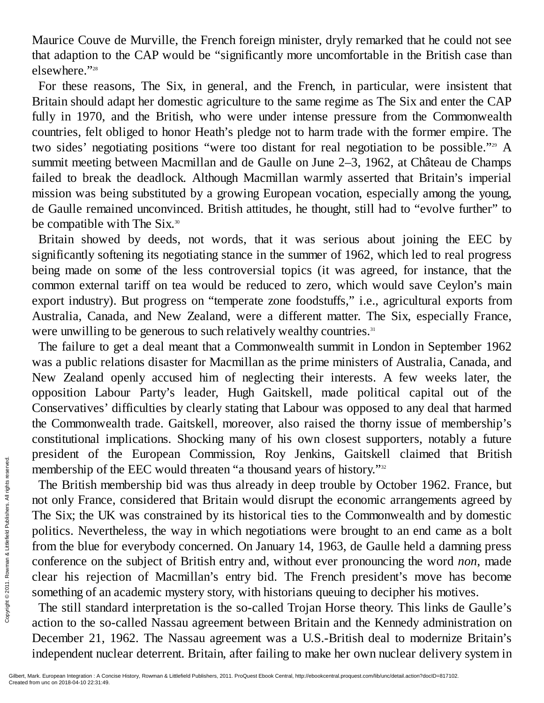Maurice Couve de Murville, the French foreign minister, dryly remarked that he could not see that adaption to the CAP would be "significantly more uncomfortable in the British case than elsewhere." 28

For these reasons, The Six, in general, and the French, in particular, were insistent that Britain should adapt her domestic agriculture to the same regime as The Six and enter the CAP fully in 1970, and the British, who were under intense pressure from the Commonwealth countries, felt obliged to honor Heath's pledge not to harm trade with the former empire. The two sides' negotiating positions "were too distant for real negotiation to be possible."<sup>29</sup> A summit meeting between Macmillan and de Gaulle on June 2–3, 1962, at Château de Champs failed to break the deadlock. Although Macmillan warmly asserted that Britain's imperial mission was being substituted by a growing European vocation, especially among the young, de Gaulle remained unconvinced. British attitudes, he thought, still had to "evolve further" to be compatible with The Six. 30

Britain showed by deeds, not words, that it was serious about joining the EEC by significantly softening its negotiating stance in the summer of 1962, which led to real progress being made on some of the less controversial topics (it was agreed, for instance, that the common external tariff on tea would be reduced to zero, which would save Ceylon's main export industry). But progress on "temperate zone foodstuffs," i.e., agricultural exports from Australia, Canada, and New Zealand, were a different matter. The Six, especially France, were unwilling to be generous to such relatively wealthy countries.<sup>31</sup>

The failure to get a deal meant that a Commonwealth summit in London in September 1962 was a public relations disaster for Macmillan as the prime ministers of Australia, Canada, and New Zealand openly accused him of neglecting their interests. A few weeks later, the opposition Labour Party's leader, Hugh Gaitskell, made political capital out of the Conservatives' difficulties by clearly stating that Labour was opposed to any deal that harmed the Commonwealth trade. Gaitskell, moreover, also raised the thorny issue of membership's constitutional implications. Shocking many of his own closest supporters, notably a future president of the European Commission, Roy Jenkins, Gaitskell claimed that British membership of the EEC would threaten "a thousand years of history."<sup>32</sup>

The British membership bid was thus already in deep trouble by October 1962. France, but not only France, considered that Britain would disrupt the economic arrangements agreed by The Six; the UK was constrained by its historical ties to the Commonwealth and by domestic politics. Nevertheless, the way in which negotiations were brought to an end came as a bolt from the blue for everybody concerned. On January 14, 1963, de Gaulle held a damning press conference on the subject of British entry and, without ever pronouncing the word *non*, made clear his rejection of Macmillan's entry bid. The French president's move has become something of an academic mystery story, with historians queuing to decipher his motives. Presentant of  $\frac{1}{2}$ <br>
membership of<br>
The British m<br>
not only France<br>
The Six; the UI<br>
politics. Never<br>
from the blue for<br>
conference on t<br>
clear his rejec<br>
something of an<br>
The still stand<br>
action to the sc<br>
December 2

The still standard interpretation is the so-called Trojan Horse theory. This links de Gaulle's action to the so-called Nassau agreement between Britain and the Kennedy administration on December 21, 1962. The Nassau agreement was a U.S.-British deal to modernize Britain's independent nuclear deterrent. Britain, after failing to make her own nuclear delivery system in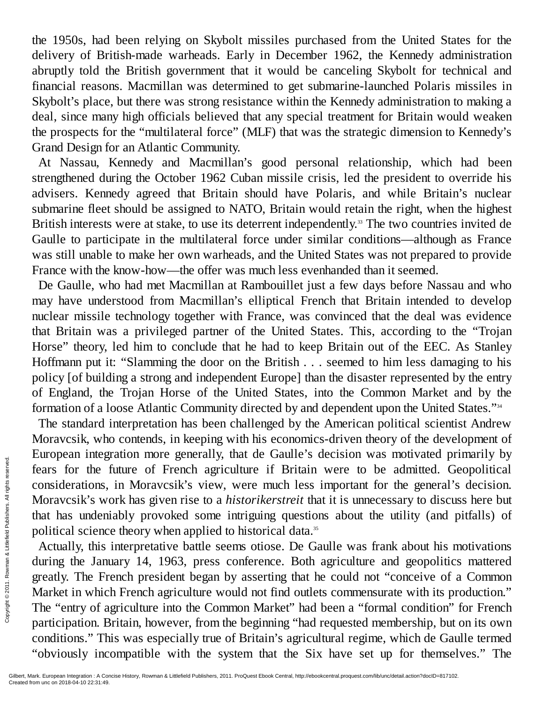the 1950s, had been relying on Skybolt missiles purchased from the United States for the delivery of British-made warheads. Early in December 1962, the Kennedy administration abruptly told the British government that it would be canceling Skybolt for technical and financial reasons. Macmillan was determined to get submarine-launched Polaris missiles in Skybolt's place, but there was strong resistance within the Kennedy administration to making a deal, since many high officials believed that any special treatment for Britain would weaken the prospects for the "multilateral force" (MLF) that was the strategic dimension to Kennedy's Grand Design for an Atlantic Community.

At Nassau, Kennedy and Macmillan's good personal relationship, which had been strengthened during the October 1962 Cuban missile crisis, led the president to override his advisers. Kennedy agreed that Britain should have Polaris, and while Britain's nuclear submarine fleet should be assigned to NATO, Britain would retain the right, when the highest British interests were at stake, to use its deterrent independently. <sup>33</sup> The two countries invited de Gaulle to participate in the multilateral force under similar conditions—although as France was still unable to make her own warheads, and the United States was not prepared to provide France with the know-how—the offer was much less evenhanded than it seemed.

De Gaulle, who had met Macmillan at Rambouillet just a few days before Nassau and who may have understood from Macmillan's elliptical French that Britain intended to develop nuclear missile technology together with France, was convinced that the deal was evidence that Britain was a privileged partner of the United States. This, according to the "Trojan Horse" theory, led him to conclude that he had to keep Britain out of the EEC. As Stanley Hoffmann put it: "Slamming the door on the British . . . seemed to him less damaging to his policy [of building a strong and independent Europe] than the disaster represented by the entry of England, the Trojan Horse of the United States, into the Common Market and by the formation of a loose Atlantic Community directed by and dependent upon the United States." 34

The standard interpretation has been challenged by the American political scientist Andrew Moravcsik, who contends, in keeping with his economics-driven theory of the development of European integration more generally, that de Gaulle's decision was motivated primarily by fears for the future of French agriculture if Britain were to be admitted. Geopolitical considerations, in Moravcsik's view, were much less important for the general's decision. Moravcsik's work has given rise to a *historikerstreit* that it is unnecessary to discuss here but that has undeniably provoked some intriguing questions about the utility (and pitfalls) of political science theory when applied to historical data. 35

Actually, this interpretative battle seems otiose. De Gaulle was frank about his motivations during the January 14, 1963, press conference. Both agriculture and geopolitics mattered greatly. The French president began by asserting that he could not "conceive of a Common Market in which French agriculture would not find outlets commensurate with its production." The "entry of agriculture into the Common Market" had been a "formal condition" for French participation. Britain, however, from the beginning "had requested membership, but on its own conditions." This was especially true of Britain's agricultural regime, which de Gaulle termed "obviously incompatible with the system that the Six have set up for themselves." The Ears for the<br>
Ears for the<br>
considerations,<br>
Moravcsik's we<br>
that has unden<br>
political science<br>
Actually, this<br>
during the Janu<br>
greatly. The Fr<br>
Market in whic<br>
The "entry of a<br>
participation. B<br>
conditions." The Conditi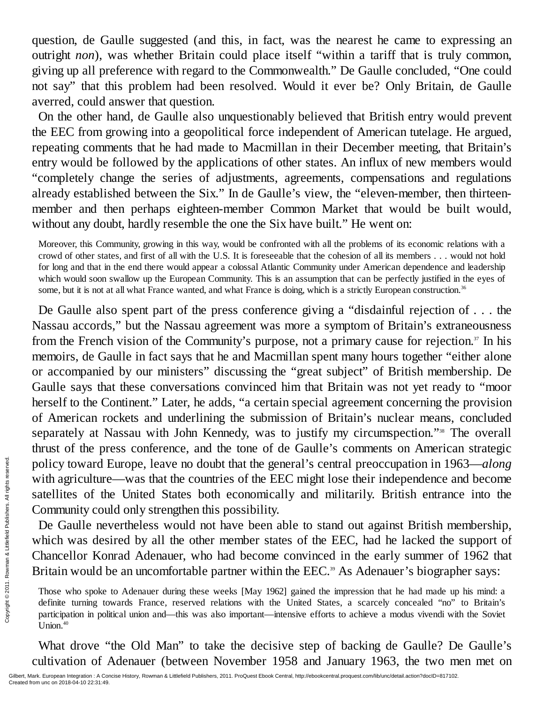question, de Gaulle suggested (and this, in fact, was the nearest he came to expressing an outright *non*), was whether Britain could place itself "within a tariff that is truly common, giving up all preference with regard to the Commonwealth." De Gaulle concluded, "One could not say" that this problem had been resolved. Would it ever be? Only Britain, de Gaulle averred, could answer that question.

On the other hand, de Gaulle also unquestionably believed that British entry would prevent the EEC from growing into a geopolitical force independent of American tutelage. He argued, repeating comments that he had made to Macmillan in their December meeting, that Britain's entry would be followed by the applications of other states. An influx of new members would "completely change the series of adjustments, agreements, compensations and regulations already established between the Six." In de Gaulle's view, the "eleven-member, then thirteenmember and then perhaps eighteen-member Common Market that would be built would, without any doubt, hardly resemble the one the Six have built." He went on:

Moreover, this Community, growing in this way, would be confronted with all the problems of its economic relations with a crowd of other states, and first of all with the U.S. It is foreseeable that the cohesion of all its members . . . would not hold for long and that in the end there would appear a colossal Atlantic Community under American dependence and leadership which would soon swallow up the European Community. This is an assumption that can be perfectly justified in the eyes of some, but it is not at all what France wanted, and what France is doing, which is a strictly European construction.<sup>36</sup>

De Gaulle also spent part of the press conference giving a "disdainful rejection of . . . the Nassau accords," but the Nassau agreement was more a symptom of Britain's extraneousness from the French vision of the Community's purpose, not a primary cause for rejection.<sup>37</sup> In his memoirs, de Gaulle in fact says that he and Macmillan spent many hours together "either alone or accompanied by our ministers" discussing the "great subject" of British membership. De Gaulle says that these conversations convinced him that Britain was not yet ready to "moor herself to the Continent." Later, he adds, "a certain special agreement concerning the provision of American rockets and underlining the submission of Britain's nuclear means, concluded separately at Nassau with John Kennedy, was to justify my circumspection." <sup>38</sup> The overall thrust of the press conference, and the tone of de Gaulle's comments on American strategic policy toward Europe, leave no doubt that the general's central preoccupation in 1963—*along* with agriculture—was that the countries of the EEC might lose their independence and become satellites of the United States both economically and militarily. British entrance into the Community could only strengthen this possibility. Provided in the set of the Community courses are all reserved.<br>
For a community courses of the Community courses of the Community courses of the Which was des Chancellor Kon<br>
Britain would be Those who spoke definite turn

De Gaulle nevertheless would not have been able to stand out against British membership, which was desired by all the other member states of the EEC, had he lacked the support of Chancellor Konrad Adenauer, who had become convinced in the early summer of 1962 that Britain would be an uncomfortable partner within the EEC. <sup>39</sup> As Adenauer's biographer says:

What drove "the Old Man" to take the decisive step of backing de Gaulle? De Gaulle's cultivation of Adenauer (between November 1958 and January 1963, the two men met on

Those who spoke to Adenauer during these weeks [May 1962] gained the impression that he had made up his mind: a definite turning towards France, reserved relations with the United States, a scarcely concealed "no" to Britain's participation in political union and—this was also important—intensive efforts to achieve a modus vivendi with the Soviet Union. 40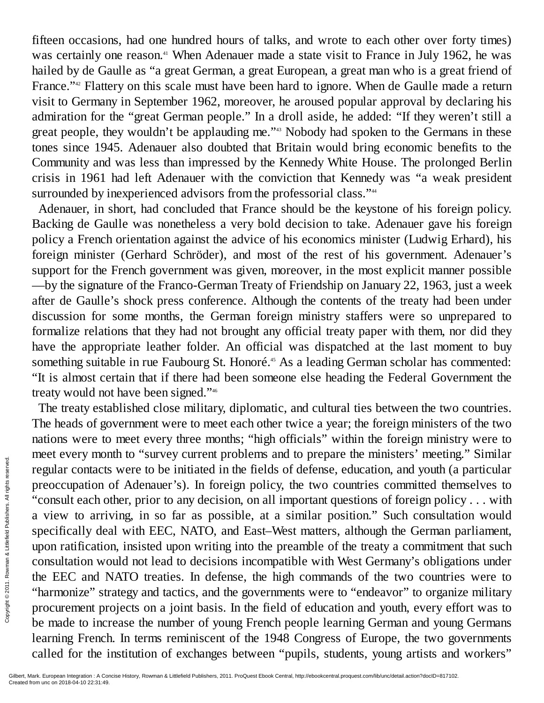fifteen occasions, had one hundred hours of talks, and wrote to each other over forty times) was certainly one reason. <sup>41</sup> When Adenauer made a state visit to France in July 1962, he was hailed by de Gaulle as "a great German, a great European, a great man who is a great friend of France."<sup>42</sup> Flattery on this scale must have been hard to ignore. When de Gaulle made a return visit to Germany in September 1962, moreover, he aroused popular approval by declaring his admiration for the "great German people." In a droll aside, he added: "If they weren't still a great people, they wouldn't be applauding me." <sup>43</sup> Nobody had spoken to the Germans in these tones since 1945. Adenauer also doubted that Britain would bring economic benefits to the Community and was less than impressed by the Kennedy White House. The prolonged Berlin crisis in 1961 had left Adenauer with the conviction that Kennedy was "a weak president surrounded by inexperienced advisors from the professorial class." 44

Adenauer, in short, had concluded that France should be the keystone of his foreign policy. Backing de Gaulle was nonetheless a very bold decision to take. Adenauer gave his foreign policy a French orientation against the advice of his economics minister (Ludwig Erhard), his foreign minister (Gerhard Schröder), and most of the rest of his government. Adenauer's support for the French government was given, moreover, in the most explicit manner possible —by the signature of the Franco-German Treaty of Friendship on January 22, 1963, just a week after de Gaulle's shock press conference. Although the contents of the treaty had been under discussion for some months, the German foreign ministry staffers were so unprepared to formalize relations that they had not brought any official treaty paper with them, nor did they have the appropriate leather folder. An official was dispatched at the last moment to buy something suitable in rue Faubourg St. Honoré. <sup>45</sup> As a leading German scholar has commented: "It is almost certain that if there had been someone else heading the Federal Government the treaty would not have been signed." 46

The treaty established close military, diplomatic, and cultural ties between the two countries. The heads of government were to meet each other twice a year; the foreign ministers of the two nations were to meet every three months; "high officials" within the foreign ministry were to meet every month to "survey current problems and to prepare the ministers' meeting." Similar regular contacts were to be initiated in the fields of defense, education, and youth (a particular preoccupation of Adenauer's). In foreign policy, the two countries committed themselves to "consult each other, prior to any decision, on all important questions of foreign policy . . . with a view to arriving, in so far as possible, at a similar position." Such consultation would specifically deal with EEC, NATO, and East–West matters, although the German parliament, upon ratification, insisted upon writing into the preamble of the treaty a commitment that such consultation would not lead to decisions incompatible with West Germany's obligations under the EEC and NATO treaties. In defense, the high commands of the two countries were to "harmonize" strategy and tactics, and the governments were to "endeavor" to organize military procurement projects on a joint basis. In the field of education and youth, every effort was to be made to increase the number of young French people learning German and young Germans learning French. In terms reminiscent of the 1948 Congress of Europe, the two governments called for the institution of exchanges between "pupils, students, young artists and workers" Example 1.1 Consult each of a view to arrive specifically deadled point and the EEC and N<br>  $\frac{1}{2}$   $\frac{1}{2}$   $\frac{1}{2}$   $\frac{1}{2}$   $\frac{1}{2}$   $\frac{1}{2}$   $\frac{1}{2}$   $\frac{1}{2}$   $\frac{1}{2}$   $\frac{1}{2}$   $\frac{1}{2}$   $\frac{1}{2}$   $\frac{1}{2}$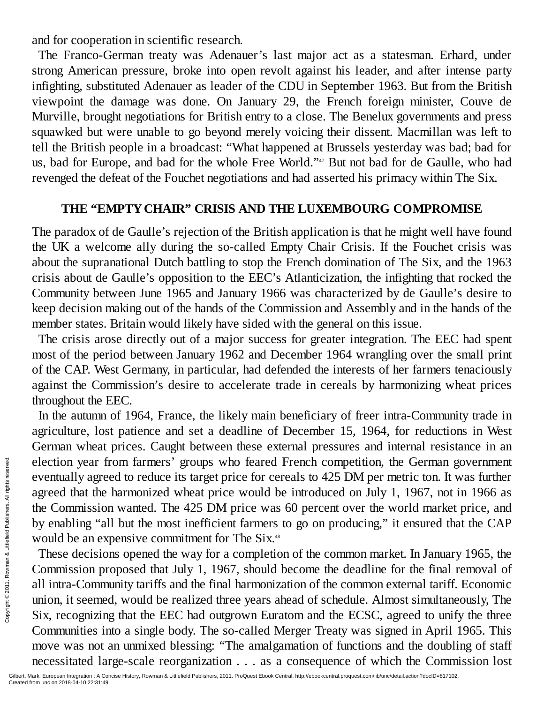and for cooperation in scientific research.

The Franco-German treaty was Adenauer's last major act as a statesman. Erhard, under strong American pressure, broke into open revolt against his leader, and after intense party infighting, substituted Adenauer as leader of the CDU in September 1963. But from the British viewpoint the damage was done. On January 29, the French foreign minister, Couve de Murville, brought negotiations for British entry to a close. The Benelux governments and press squawked but were unable to go beyond merely voicing their dissent. Macmillan was left to tell the British people in a broadcast: "What happened at Brussels yesterday was bad; bad for us, bad for Europe, and bad for the whole Free World." <sup>47</sup> But not bad for de Gaulle, who had revenged the defeat of the Fouchet negotiations and had asserted his primacy within The Six.

### **THE "EMPTYCHAIR" CRISIS AND THE LUXEMBOURG COMPROMISE**

The paradox of de Gaulle's rejection of the British application is that he might well have found the UK a welcome ally during the so-called Empty Chair Crisis. If the Fouchet crisis was about the supranational Dutch battling to stop the French domination of The Six, and the 1963 crisis about de Gaulle's opposition to the EEC's Atlanticization, the infighting that rocked the Community between June 1965 and January 1966 was characterized by de Gaulle's desire to keep decision making out of the hands of the Commission and Assembly and in the hands of the member states. Britain would likely have sided with the general on this issue.

The crisis arose directly out of a major success for greater integration. The EEC had spent most of the period between January 1962 and December 1964 wrangling over the small print of the CAP. West Germany, in particular, had defended the interests of her farmers tenaciously against the Commission's desire to accelerate trade in cereals by harmonizing wheat prices throughout the EEC.

In the autumn of 1964, France, the likely main beneficiary of freer intra-Community trade in agriculture, lost patience and set a deadline of December 15, 1964, for reductions in West German wheat prices. Caught between these external pressures and internal resistance in an election year from farmers' groups who feared French competition, the German government eventually agreed to reduce its target price for cereals to 425 DM per metric ton. It was further agreed that the harmonized wheat price would be introduced on July 1, 1967, not in 1966 as the Commission wanted. The 425 DM price was 60 percent over the world market price, and by enabling "all but the most inefficient farmers to go on producing," it ensured that the CAP would be an expensive commitment for The Six.<sup>48</sup>

These decisions opened the way for a completion of the common market. In January 1965, the Commission proposed that July 1, 1967, should become the deadline for the final removal of all intra-Community tariffs and the final harmonization of the common external tariff. Economic union, it seemed, would be realized three years ahead of schedule. Almost simultaneously, The Six, recognizing that the EEC had outgrown Euratom and the ECSC, agreed to unify the three Communities into a single body. The so-called Merger Treaty was signed in April 1965. This move was not an unmixed blessing: "The amalgamation of functions and the doubling of staff necessitated large-scale reorganization . . . as a consequence of which the Commission lost Exercise the Commission of the Commission of the Commission of the Commission of the Commission prediction of the direct, wark. European Integration : A Contracted from unc on 2018-04-10 22:31:49. Contracted from unce on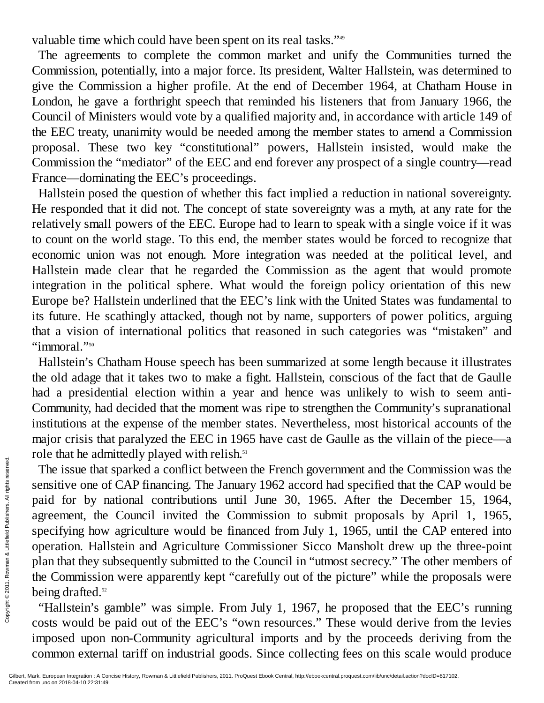valuable time which could have been spent on its real tasks." 49

The agreements to complete the common market and unify the Communities turned the Commission, potentially, into a major force. Its president, Walter Hallstein, was determined to give the Commission a higher profile. At the end of December 1964, at Chatham House in London, he gave a forthright speech that reminded his listeners that from January 1966, the Council of Ministers would vote by a qualified majority and, in accordance with article 149 of the EEC treaty, unanimity would be needed among the member states to amend a Commission proposal. These two key "constitutional" powers, Hallstein insisted, would make the Commission the "mediator" of the EEC and end forever any prospect of a single country—read France—dominating the EEC's proceedings.

Hallstein posed the question of whether this fact implied a reduction in national sovereignty. He responded that it did not. The concept of state sovereignty was a myth, at any rate for the relatively small powers of the EEC. Europe had to learn to speak with a single voice if it was to count on the world stage. To this end, the member states would be forced to recognize that economic union was not enough. More integration was needed at the political level, and Hallstein made clear that he regarded the Commission as the agent that would promote integration in the political sphere. What would the foreign policy orientation of this new Europe be? Hallstein underlined that the EEC's link with the United States was fundamental to its future. He scathingly attacked, though not by name, supporters of power politics, arguing that a vision of international politics that reasoned in such categories was "mistaken" and "immoral." 50

Hallstein's Chatham House speech has been summarized at some length because it illustrates the old adage that it takes two to make a fight. Hallstein, conscious of the fact that de Gaulle had a presidential election within a year and hence was unlikely to wish to seem anti-Community, had decided that the moment was ripe to strengthen the Community's supranational institutions at the expense of the member states. Nevertheless, most historical accounts of the major crisis that paralyzed the EEC in 1965 have cast de Gaulle as the villain of the piece—a role that he admittedly played with relish.<sup>51</sup>

The issue that sparked a conflict between the French government and the Commission was the sensitive one of CAP financing. The January 1962 accord had specified that the CAP would be paid for by national contributions until June 30, 1965. After the December 15, 1964, agreement, the Council invited the Commission to submit proposals by April 1, 1965, specifying how agriculture would be financed from July 1, 1965, until the CAP entered into operation. Hallstein and Agriculture Commissioner Sicco Mansholt drew up the three-point plan that they subsequently submitted to the Council in "utmost secrecy." The other members of the Commission were apparently kept "carefully out of the picture" while the proposals were being drafted. 52 From uncertainty the specifying how operation. Hall plan that they subset the Commission being drafted.<sup>52</sup><br>  $\frac{1}{25}$  "Hall stein's g<br>  $\frac{1}{25}$  "Hall stein's g<br>  $\frac{1}{25}$  "Hall stein's g<br>  $\frac{1}{25}$  "Hall stein's g<br>

"Hallstein's gamble" was simple. From July 1, 1967, he proposed that the EEC's running costs would be paid out of the EEC's "own resources." These would derive from the levies imposed upon non-Community agricultural imports and by the proceeds deriving from the common external tariff on industrial goods. Since collecting fees on this scale would produce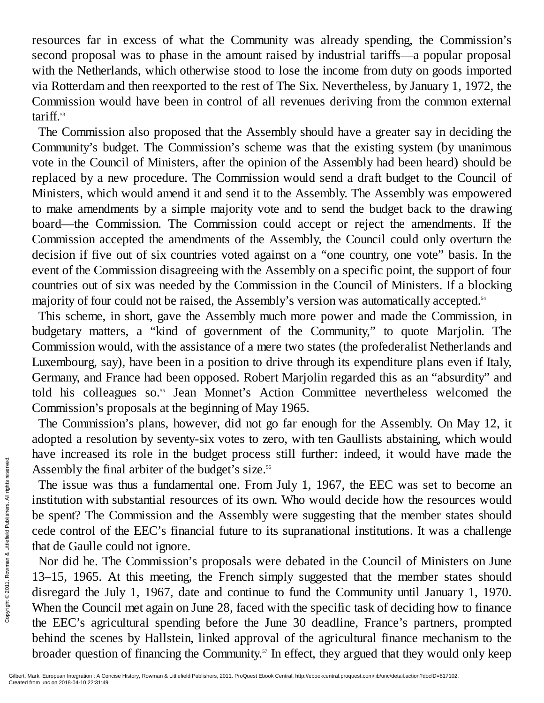resources far in excess of what the Community was already spending, the Commission's second proposal was to phase in the amount raised by industrial tariffs—a popular proposal with the Netherlands, which otherwise stood to lose the income from duty on goods imported via Rotterdam and then reexported to the rest of The Six. Nevertheless, by January 1, 1972, the Commission would have been in control of all revenues deriving from the common external tariff. 53

The Commission also proposed that the Assembly should have a greater say in deciding the Community's budget. The Commission's scheme was that the existing system (by unanimous vote in the Council of Ministers, after the opinion of the Assembly had been heard) should be replaced by a new procedure. The Commission would send a draft budget to the Council of Ministers, which would amend it and send it to the Assembly. The Assembly was empowered to make amendments by a simple majority vote and to send the budget back to the drawing board—the Commission. The Commission could accept or reject the amendments. If the Commission accepted the amendments of the Assembly, the Council could only overturn the decision if five out of six countries voted against on a "one country, one vote" basis. In the event of the Commission disagreeing with the Assembly on a specific point, the support of four countries out of six was needed by the Commission in the Council of Ministers. If a blocking majority of four could not be raised, the Assembly's version was automatically accepted. 54

This scheme, in short, gave the Assembly much more power and made the Commission, in budgetary matters, a "kind of government of the Community," to quote Marjolin. The Commission would, with the assistance of a mere two states (the profederalist Netherlands and Luxembourg, say), have been in a position to drive through its expenditure plans even if Italy, Germany, and France had been opposed. Robert Marjolin regarded this as an "absurdity" and told his colleagues so. <sup>55</sup> Jean Monnet's Action Committee nevertheless welcomed the Commission's proposals at the beginning of May 1965.

The Commission's plans, however, did not go far enough for the Assembly. On May 12, it adopted a resolution by seventy-six votes to zero, with ten Gaullists abstaining, which would have increased its role in the budget process still further: indeed, it would have made the Assembly the final arbiter of the budget's size. 56

The issue was thus a fundamental one. From July 1, 1967, the EEC was set to become an institution with substantial resources of its own. Who would decide how the resources would be spent? The Commission and the Assembly were suggesting that the member states should cede control of the EEC's financial future to its supranational institutions. It was a challenge that de Gaulle could not ignore.

Nor did he. The Commission's proposals were debated in the Council of Ministers on June 13–15, 1965. At this meeting, the French simply suggested that the member states should disregard the July 1, 1967, date and continue to fund the Community until January 1, 1970. When the Council met again on June 28, faced with the specific task of deciding how to finance the EEC's agricultural spending before the June 30 deadline, France's partners, prompted behind the scenes by Hallstein, linked approval of the agricultural finance mechanism to the broader question of financing the Community. 57 In effect, they argued that they would only keep Examply the film issue was institution with<br>
the issue was institution with<br>
the spent? The<br>
cede control of<br>
that de Gaulle c<br>
Nor did he. T<br>  $13-15$ , 1965.<br>
disregard the J<br>
when the Count<br>
the EEC's agri<br>
the EEC's agr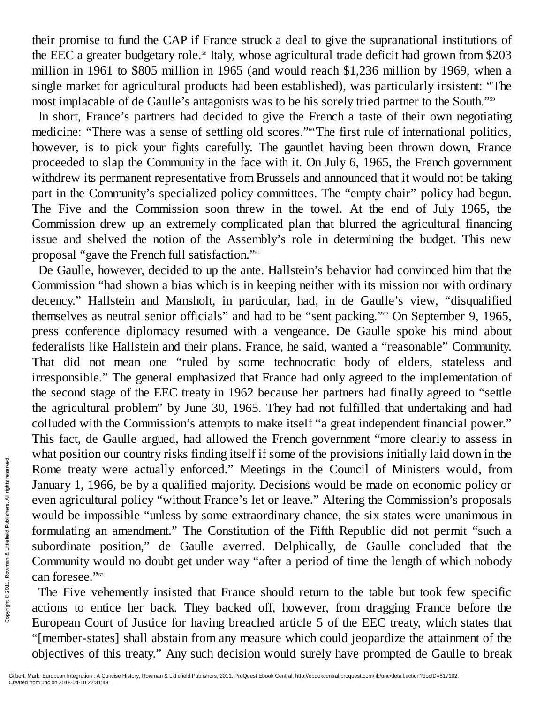their promise to fund the CAP if France struck a deal to give the supranational institutions of the EEC a greater budgetary role.<sup>58</sup> Italy, whose agricultural trade deficit had grown from \$203 million in 1961 to \$805 million in 1965 (and would reach \$1,236 million by 1969, when a single market for agricultural products had been established), was particularly insistent: "The most implacable of de Gaulle's antagonists was to be his sorely tried partner to the South." 59

In short, France's partners had decided to give the French a taste of their own negotiating medicine: "There was a sense of settling old scores."<sup>60</sup>The first rule of international politics, however, is to pick your fights carefully. The gauntlet having been thrown down, France proceeded to slap the Community in the face with it. On July 6, 1965, the French government withdrew its permanent representative from Brussels and announced that it would not be taking part in the Community's specialized policy committees. The "empty chair" policy had begun. The Five and the Commission soon threw in the towel. At the end of July 1965, the Commission drew up an extremely complicated plan that blurred the agricultural financing issue and shelved the notion of the Assembly's role in determining the budget. This new proposal "gave the French full satisfaction." 61

De Gaulle, however, decided to up the ante. Hallstein's behavior had convinced him that the Commission "had shown a bias which is in keeping neither with its mission nor with ordinary decency." Hallstein and Mansholt, in particular, had, in de Gaulle's view, "disqualified themselves as neutral senior officials" and had to be "sent packing."<sup>62</sup> On September 9, 1965, press conference diplomacy resumed with a vengeance. De Gaulle spoke his mind about federalists like Hallstein and their plans. France, he said, wanted a "reasonable" Community. That did not mean one "ruled by some technocratic body of elders, stateless and irresponsible." The general emphasized that France had only agreed to the implementation of the second stage of the EEC treaty in 1962 because her partners had finally agreed to "settle the agricultural problem" by June 30, 1965. They had not fulfilled that undertaking and had colluded with the Commission's attempts to make itself "a great independent financial power." This fact, de Gaulle argued, had allowed the French government "more clearly to assess in what position our country risks finding itself if some of the provisions initially laid down in the Rome treaty were actually enforced." Meetings in the Council of Ministers would, from January 1, 1966, be by a qualified majority. Decisions would be made on economic policy or even agricultural policy "without France's let or leave." Altering the Commission's proposals would be impossible "unless by some extraordinary chance, the six states were unanimous in formulating an amendment." The Constitution of the Fifth Republic did not permit "such a subordinate position," de Gaulle averred. Delphically, de Gaulle concluded that the Community would no doubt get under way "after a period of time the length of which nobody can foresee." 63 Example 1 2018-04-10 22:31:49.<br>
Example 1 2011<br>
Subordinate produced by Community words and subordinate produced by Community words and foresee."<br>
The Five veh<br>
actions to enti<br>
European Cour<br>
"[member-state objectives of

The Five vehemently insisted that France should return to the table but took few specific actions to entice her back. They backed off, however, from dragging France before the European Court of Justice for having breached article 5 of the EEC treaty, which states that "[member-states] shall abstain from any measure which could jeopardize the attainment of the objectives of this treaty." Any such decision would surely have prompted de Gaulle to break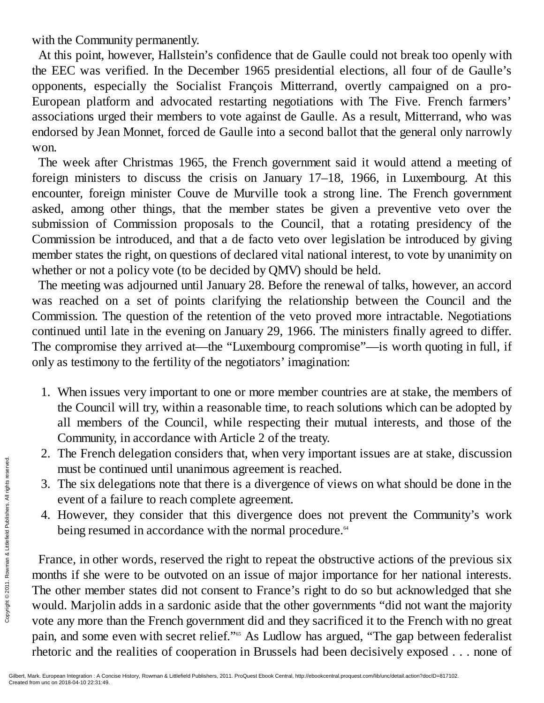with the Community permanently.

At this point, however, Hallstein's confidence that de Gaulle could not break too openly with the EEC was verified. In the December 1965 presidential elections, all four of de Gaulle's opponents, especially the Socialist François Mitterrand, overtly campaigned on a pro-European platform and advocated restarting negotiations with The Five. French farmers' associations urged their members to vote against de Gaulle. As a result, Mitterrand, who was endorsed by Jean Monnet, forced de Gaulle into a second ballot that the general only narrowly won.

The week after Christmas 1965, the French government said it would attend a meeting of foreign ministers to discuss the crisis on January 17–18, 1966, in Luxembourg. At this encounter, foreign minister Couve de Murville took a strong line. The French government asked, among other things, that the member states be given a preventive veto over the submission of Commission proposals to the Council, that a rotating presidency of the Commission be introduced, and that a de facto veto over legislation be introduced by giving member states the right, on questions of declared vital national interest, to vote by unanimity on whether or not a policy vote (to be decided by QMV) should be held.

The meeting was adjourned until January 28. Before the renewal of talks, however, an accord was reached on a set of points clarifying the relationship between the Council and the Commission. The question of the retention of the veto proved more intractable. Negotiations continued until late in the evening on January 29, 1966. The ministers finally agreed to differ. The compromise they arrived at—the "Luxembourg compromise"—is worth quoting in full, if only as testimony to the fertility of the negotiators' imagination:

- 1. When issues very important to one or more member countries are at stake, the members of the Council will try, within a reasonable time, to reach solutions which can be adopted by all members of the Council, while respecting their mutual interests, and those of the Community, in accordance with Article 2 of the treaty.
- 2. The French delegation considers that, when very important issues are at stake, discussion must be continued until unanimous agreement is reached.
- 3. The six delegations note that there is a divergence of views on what should be done in the event of a failure to reach complete agreement.
- 4. However, they consider that this divergence does not prevent the Community's work being resumed in accordance with the normal procedure. 64

France, in other words, reserved the right to repeat the obstructive actions of the previous six months if she were to be outvoted on an issue of major importance for her national interests. The other member states did not consent to France's right to do so but acknowledged that she would. Marjolin adds in a sardonic aside that the other governments "did not want the majority vote any more than the French government did and they sacrificed it to the French with no great pain, and some even with secret relief." <sup>65</sup> As Ludlow has argued, "The gap between federalist rhetoric and the realities of cooperation in Brussels had been decisively exposed . . . none of Example 1 22:31:49<br>
Example 1 22:31:49<br>
Example 1 22:31:49<br>
Example 1 22:31:49<br>
Example 1 2012.<br>
The other mem<br>
Would. Marjoli<br>
Vote any more than Word Publishers. All rights reserved.<br>
Copyright Mark. European Integration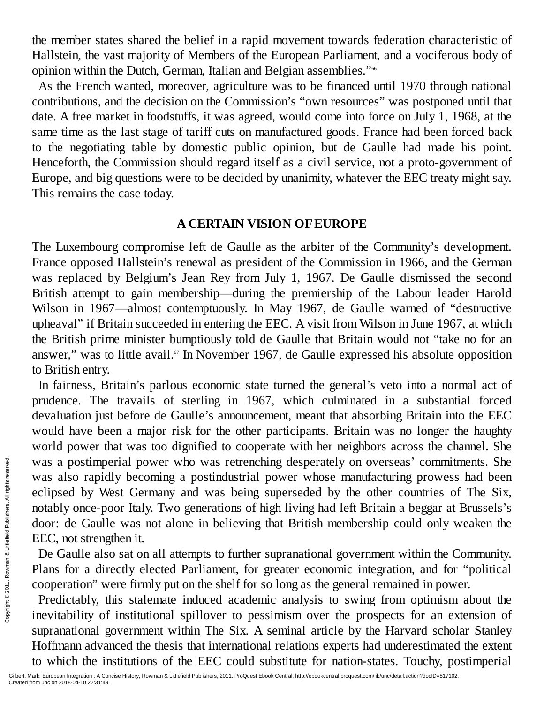the member states shared the belief in a rapid movement towards federation characteristic of Hallstein, the vast majority of Members of the European Parliament, and a vociferous body of opinion within the Dutch, German, Italian and Belgian assemblies." 66

As the French wanted, moreover, agriculture was to be financed until 1970 through national contributions, and the decision on the Commission's "own resources" was postponed until that date. A free market in foodstuffs, it was agreed, would come into force on July 1, 1968, at the same time as the last stage of tariff cuts on manufactured goods. France had been forced back to the negotiating table by domestic public opinion, but de Gaulle had made his point. Henceforth, the Commission should regard itself as a civil service, not a proto-government of Europe, and big questions were to be decided by unanimity, whatever the EEC treaty might say. This remains the case today.

#### **A CERTAIN VISION OFEUROPE**

The Luxembourg compromise left de Gaulle as the arbiter of the Community's development. France opposed Hallstein's renewal as president of the Commission in 1966, and the German was replaced by Belgium's Jean Rey from July 1, 1967. De Gaulle dismissed the second British attempt to gain membership—during the premiership of the Labour leader Harold Wilson in 1967—almost contemptuously. In May 1967, de Gaulle warned of "destructive upheaval" if Britain succeeded in entering the EEC. A visit from Wilson in June 1967, at which the British prime minister bumptiously told de Gaulle that Britain would not "take no for an answer," was to little avail.<sup>67</sup> In November 1967, de Gaulle expressed his absolute opposition to British entry.

In fairness, Britain's parlous economic state turned the general's veto into a normal act of prudence. The travails of sterling in 1967, which culminated in a substantial forced devaluation just before de Gaulle's announcement, meant that absorbing Britain into the EEC would have been a major risk for the other participants. Britain was no longer the haughty world power that was too dignified to cooperate with her neighbors across the channel. She was a postimperial power who was retrenching desperately on overseas' commitments. She was also rapidly becoming a postindustrial power whose manufacturing prowess had been eclipsed by West Germany and was being superseded by the other countries of The Six, notably once-poor Italy. Two generations of high living had left Britain a beggar at Brussels's door: de Gaulle was not alone in believing that British membership could only weaken the EEC, not strengthen it. Was a postimpote<br>
was also rapid<br>
eclipsed by W<br>
motably once-pote<br>
door: de Gaull<br>
EEC, not streng<br>
De Gaulle als<br>
Plans for a dir<br>
cooperation" w<br>
Predictably, the incorpresentation of the subset, Mark. European Integra

De Gaulle also sat on all attempts to further supranational government within the Community. Plans for a directly elected Parliament, for greater economic integration, and for "political cooperation" were firmly put on the shelf for so long as the general remained in power.

Predictably, this stalemate induced academic analysis to swing from optimism about the inevitability of institutional spillover to pessimism over the prospects for an extension of supranational government within The Six. A seminal article by the Harvard scholar Stanley Hoffmann advanced the thesis that international relations experts had underestimated the extent to which the institutions of the EEC could substitute for nation-states. Touchy, postimperial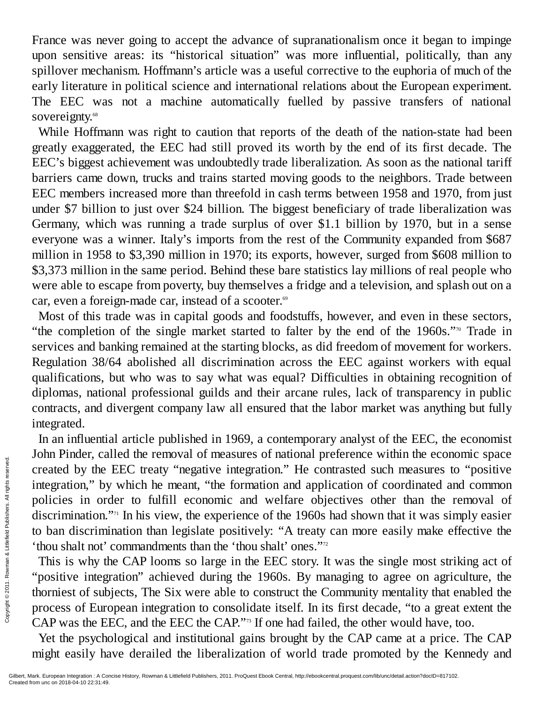France was never going to accept the advance of supranationalism once it began to impinge upon sensitive areas: its "historical situation" was more influential, politically, than any spillover mechanism. Hoffmann's article was a useful corrective to the euphoria of much of the early literature in political science and international relations about the European experiment. The EEC was not a machine automatically fuelled by passive transfers of national sovereignty.<sup>68</sup>

While Hoffmann was right to caution that reports of the death of the nation-state had been greatly exaggerated, the EEC had still proved its worth by the end of its first decade. The EEC's biggest achievement was undoubtedly trade liberalization. As soon as the national tariff barriers came down, trucks and trains started moving goods to the neighbors. Trade between EEC members increased more than threefold in cash terms between 1958 and 1970, from just under \$7 billion to just over \$24 billion. The biggest beneficiary of trade liberalization was Germany, which was running a trade surplus of over \$1.1 billion by 1970, but in a sense everyone was a winner. Italy's imports from the rest of the Community expanded from \$687 million in 1958 to \$3,390 million in 1970; its exports, however, surged from \$608 million to \$3,373 million in the same period. Behind these bare statistics lay millions of real people who were able to escape from poverty, buy themselves a fridge and a television, and splash out on a car, even a foreign-made car, instead of a scooter. 69

Most of this trade was in capital goods and foodstuffs, however, and even in these sectors, "the completion of the single market started to falter by the end of the  $1960$ s." $\scriptstyle\rm\scriptstyle{n}$  Trade in services and banking remained at the starting blocks, as did freedom of movement for workers. Regulation 38/64 abolished all discrimination across the EEC against workers with equal qualifications, but who was to say what was equal? Difficulties in obtaining recognition of diplomas, national professional guilds and their arcane rules, lack of transparency in public contracts, and divergent company law all ensured that the labor market was anything but fully integrated.

In an influential article published in 1969, a contemporary analyst of the EEC, the economist John Pinder, called the removal of measures of national preference within the economic space created by the EEC treaty "negative integration." He contrasted such measures to "positive integration," by which he meant, "the formation and application of coordinated and common policies in order to fulfill economic and welfare objectives other than the removal of discrimination." 71 In his view, the experience of the 1960s had shown that it was simply easier to ban discrimination than legislate positively: "A treaty can more easily make effective the 'thou shalt not' commandments than the 'thou shalt' ones."<sup>72</sup> Example 12 and 12 and 12 and 12 and 12 and 13 and 13 and 13 and 14 and 14 and 14 and 14 and 14 and 14 and 14 and 14 and 14 and 16 and 16 and 16 and 16 and 16 and 16 and 16 and 16 and 16 and 16 and 16 and 16 and 16 and 16

This is why the CAP looms so large in the EEC story. It was the single most striking act of "positive integration" achieved during the 1960s. By managing to agree on agriculture, the thorniest of subjects, The Six were able to construct the Community mentality that enabled the process of European integration to consolidate itself. In its first decade, "to a great extent the CAP was the EEC, and the EEC the CAP." 73 If one had failed, the other would have, too.

Yet the psychological and institutional gains brought by the CAP came at a price. The CAP might easily have derailed the liberalization of world trade promoted by the Kennedy and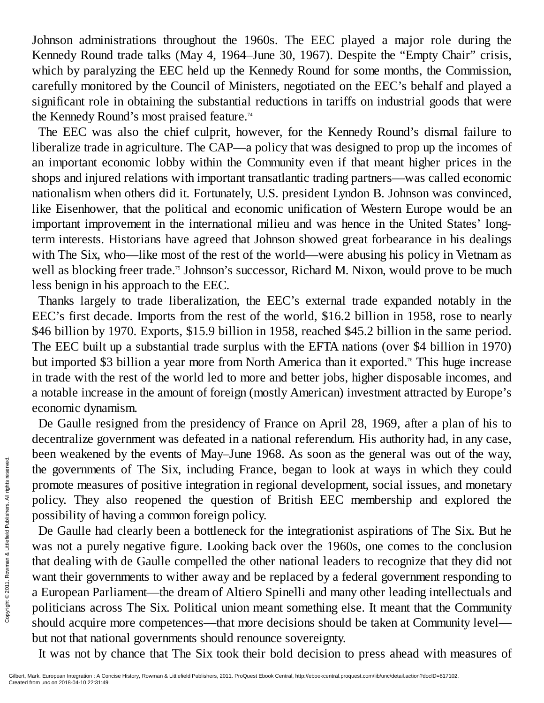Johnson administrations throughout the 1960s. The EEC played a major role during the Kennedy Round trade talks (May 4, 1964–June 30, 1967). Despite the "Empty Chair" crisis, which by paralyzing the EEC held up the Kennedy Round for some months, the Commission, carefully monitored by the Council of Ministers, negotiated on the EEC's behalf and played a significant role in obtaining the substantial reductions in tariffs on industrial goods that were the Kennedy Round's most praised feature.<sup>74</sup>

The EEC was also the chief culprit, however, for the Kennedy Round's dismal failure to liberalize trade in agriculture. The CAP—a policy that was designed to prop up the incomes of an important economic lobby within the Community even if that meant higher prices in the shops and injured relations with important transatlantic trading partners—was called economic nationalism when others did it. Fortunately, U.S. president Lyndon B. Johnson was convinced, like Eisenhower, that the political and economic unification of Western Europe would be an important improvement in the international milieu and was hence in the United States' longterm interests. Historians have agreed that Johnson showed great forbearance in his dealings with The Six, who—like most of the rest of the world—were abusing his policy in Vietnam as well as blocking freer trade.<sup>75</sup> Johnson's successor, Richard M. Nixon, would prove to be much less benign in his approach to the EEC.

Thanks largely to trade liberalization, the EEC's external trade expanded notably in the EEC's first decade. Imports from the rest of the world, \$16.2 billion in 1958, rose to nearly \$46 billion by 1970. Exports, \$15.9 billion in 1958, reached \$45.2 billion in the same period. The EEC built up a substantial trade surplus with the EFTA nations (over \$4 billion in 1970) but imported \$3 billion a year more from North America than it exported. <sup>76</sup> This huge increase in trade with the rest of the world led to more and better jobs, higher disposable incomes, and a notable increase in the amount of foreign (mostly American) investment attracted by Europe's economic dynamism.

De Gaulle resigned from the presidency of France on April 28, 1969, after a plan of his to decentralize government was defeated in a national referendum. His authority had, in any case, been weakened by the events of May–June 1968. As soon as the general was out of the way, the governments of The Six, including France, began to look at ways in which they could promote measures of positive integration in regional development, social issues, and monetary policy. They also reopened the question of British EEC membership and explored the possibility of having a common foreign policy.

De Gaulle had clearly been a bottleneck for the integrationist aspirations of The Six. But he was not a purely negative figure. Looking back over the 1960s, one comes to the conclusion that dealing with de Gaulle compelled the other national leaders to recognize that they did not want their governments to wither away and be replaced by a federal government responding to a European Parliament—the dream of Altiero Spinelli and many other leading intellectuals and politicians across The Six. Political union meant something else. It meant that the Community should acquire more competences—that more decisions should be taken at Community level but not that national governments should renounce sovereignty. Example 12:25 and 2018-04-10 22:31:49.<br>
The government<br>
promote measure policy. They a<br>
possibility of hample and was not a pure<br>
that dealing with was not a pure<br>
a European Par<br>
politicians acro<br>
a European Par<br>
politic

It was not by chance that The Six took their bold decision to press ahead with measures of